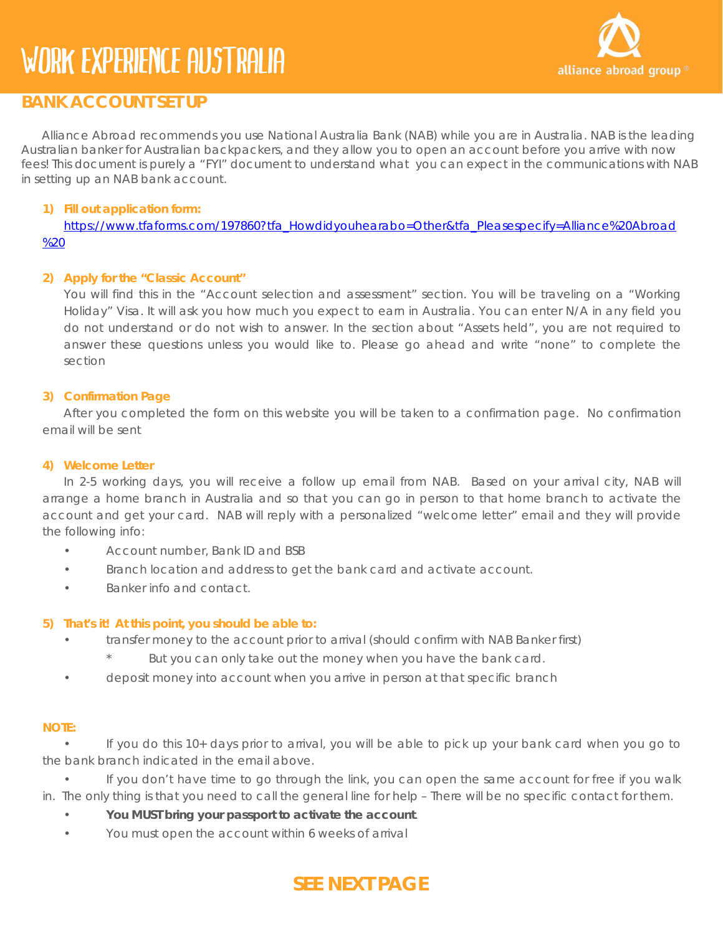

# **BANK ACCOUNT SET UP**

Alliance Abroad recommends you use National Australia Bank (NAB) while you are in Australia. NAB is the leading Australian banker for Australian backpackers, and they allow you to open an account before you arrive with now fees! This document is purely a "FYI" document to understand what you can expect in the communications with NAB in setting up an NAB bank account.

## **1) Fill out application form:**

[https://www.tfaforms.com/197860?tfa\\_Howdidyouhearabo=Other&tfa\\_Pleasespecify=Alliance%20Abroad](https://www.tfaforms.com/197860?tfa_Howdidyouhearabo=Other&tfa_Pleasespecify=Alliance%20Abroad%20) [%20](https://www.tfaforms.com/197860?tfa_Howdidyouhearabo=Other&tfa_Pleasespecify=Alliance%20Abroad%20)

#### **2) Apply for the "Classic Account"**

You will find this in the "Account selection and assessment" section. You will be traveling on a "Working Holiday" Visa. It will ask you how much you expect to earn in Australia. You can enter N/A in any field you do not understand or do not wish to answer. In the section about "Assets held", you are not required to answer these questions unless you would like to. Please go ahead and write "none" to complete the section

#### **3) Confirmation Page**

After you completed the form on this website you will be taken to a confirmation page. No confirmation email will be sent

#### **4) Welcome Letter**

In 2-5 working days, you will receive a follow up email from NAB. Based on your arrival city, NAB will arrange a home branch in Australia and so that you can go in person to that home branch to activate the account and get your card. NAB will reply with a personalized "welcome letter" email and they will provide the following info:

- Account number, Bank ID and BSB
- Branch location and address to get the bank card and activate account.
- Banker info and contact.

#### **5) That's it! At this point, you should be able to:**

- transfer money to the account prior to arrival (should confirm with NAB Banker first)
	- But you can only take out the money when you have the bank card.
- deposit money into account when you arrive in person at that specific branch

#### **NOTE:**

• If you do this 10+ days prior to arrival, you will be able to pick up your bank card when you go to the bank branch indicated in the email above.

• If you don't have time to go through the link, you can open the same account for free if you walk in. The only thing is that you need to call the general line for help – There will be no specific contact for them.

- **You MUST bring your passport to activate the account**.
- You must open the account within 6 weeks of arrival

# **SEE NEXT PAGE**